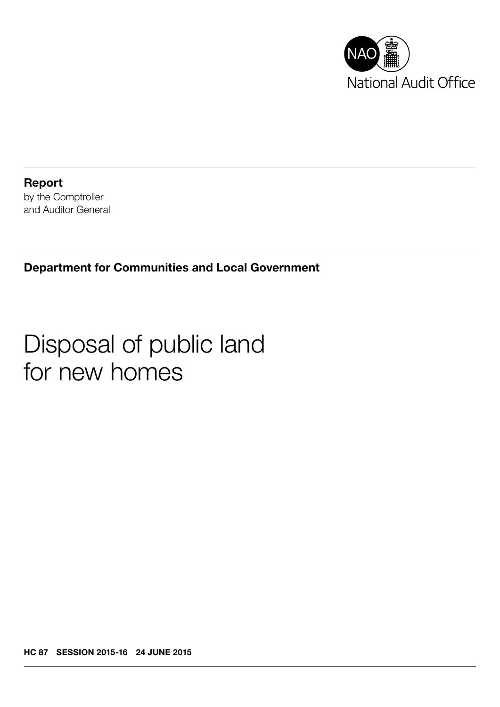

Report by the Comptroller and Auditor General

Department for Communities and Local Government

## Disposal of public land for new homes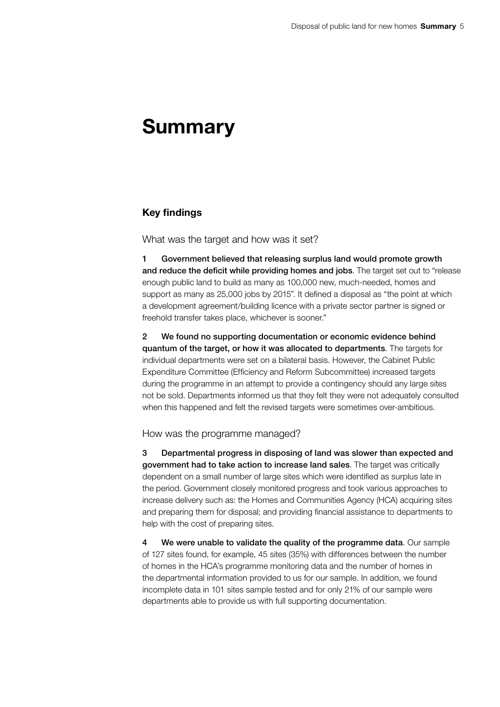## Summary

## Key findings

What was the target and how was it set?

1 Government believed that releasing surplus land would promote growth and reduce the deficit while providing homes and jobs. The target set out to "release enough public land to build as many as 100,000 new, much-needed, homes and support as many as 25,000 jobs by 2015". It defined a disposal as "the point at which a development agreement/building licence with a private sector partner is signed or freehold transfer takes place, whichever is sooner."

2 We found no supporting documentation or economic evidence behind quantum of the target, or how it was allocated to departments. The targets for individual departments were set on a bilateral basis. However, the Cabinet Public Expenditure Committee (Efficiency and Reform Subcommittee) increased targets during the programme in an attempt to provide a contingency should any large sites not be sold. Departments informed us that they felt they were not adequately consulted when this happened and felt the revised targets were sometimes over-ambitious.

How was the programme managed?

3 Departmental progress in disposing of land was slower than expected and government had to take action to increase land sales. The target was critically dependent on a small number of large sites which were identified as surplus late in the period. Government closely monitored progress and took various approaches to increase delivery such as: the Homes and Communities Agency (HCA) acquiring sites and preparing them for disposal; and providing financial assistance to departments to help with the cost of preparing sites.

4 We were unable to validate the quality of the programme data. Our sample of 127 sites found, for example, 45 sites (35%) with differences between the number of homes in the HCA's programme monitoring data and the number of homes in the departmental information provided to us for our sample. In addition, we found incomplete data in 101 sites sample tested and for only 21% of our sample were departments able to provide us with full supporting documentation.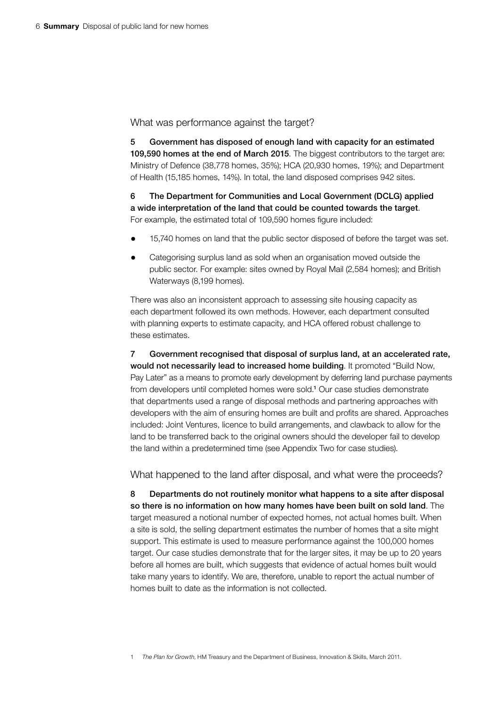What was performance against the target?

5 Government has disposed of enough land with capacity for an estimated 109,590 homes at the end of March 2015. The biggest contributors to the target are: Ministry of Defence (38,778 homes, 35%); HCA (20,930 homes, 19%); and Department of Health (15,185 homes, 14%). In total, the land disposed comprises 942 sites.

6 The Department for Communities and Local Government (DCLG) applied a wide interpretation of the land that could be counted towards the target. For example, the estimated total of 109,590 homes figure included:

- 15,740 homes on land that the public sector disposed of before the target was set.
- Categorising surplus land as sold when an organisation moved outside the public sector. For example: sites owned by Royal Mail (2,584 homes); and British Waterways (8,199 homes).

There was also an inconsistent approach to assessing site housing capacity as each department followed its own methods. However, each department consulted with planning experts to estimate capacity, and HCA offered robust challenge to these estimates.

7 Government recognised that disposal of surplus land, at an accelerated rate, would not necessarily lead to increased home building. It promoted "Build Now, Pay Later" as a means to promote early development by deferring land purchase payments from developers until completed homes were sold.<sup>1</sup> Our case studies demonstrate that departments used a range of disposal methods and partnering approaches with developers with the aim of ensuring homes are built and profits are shared. Approaches included: Joint Ventures, licence to build arrangements, and clawback to allow for the land to be transferred back to the original owners should the developer fail to develop the land within a predetermined time (see Appendix Two for case studies).

What happened to the land after disposal, and what were the proceeds?

8 Departments do not routinely monitor what happens to a site after disposal so there is no information on how many homes have been built on sold land. The target measured a notional number of expected homes, not actual homes built. When a site is sold, the selling department estimates the number of homes that a site might support. This estimate is used to measure performance against the 100,000 homes target. Our case studies demonstrate that for the larger sites, it may be up to 20 years before all homes are built, which suggests that evidence of actual homes built would take many years to identify. We are, therefore, unable to report the actual number of homes built to date as the information is not collected.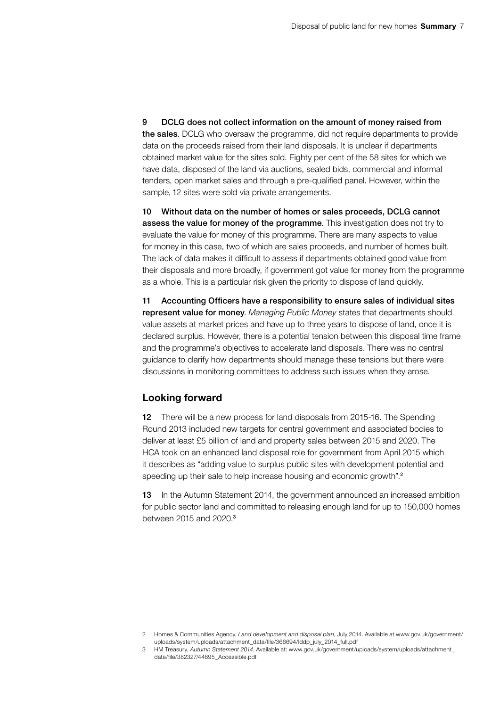9 DCLG does not collect information on the amount of money raised from the sales. DCLG who oversaw the programme, did not require departments to provide data on the proceeds raised from their land disposals. It is unclear if departments obtained market value for the sites sold. Eighty per cent of the 58 sites for which we have data, disposed of the land via auctions, sealed bids, commercial and informal tenders, open market sales and through a pre-qualified panel. However, within the sample, 12 sites were sold via private arrangements.

10 Without data on the number of homes or sales proceeds, DCLG cannot assess the value for money of the programme. This investigation does not try to evaluate the value for money of this programme. There are many aspects to value for money in this case, two of which are sales proceeds, and number of homes built. The lack of data makes it difficult to assess if departments obtained good value from their disposals and more broadly, if government got value for money from the programme as a whole. This is a particular risk given the priority to dispose of land quickly.

11 Accounting Officers have a responsibility to ensure sales of individual sites represent value for money. *Managing Public Money* states that departments should value assets at market prices and have up to three years to dispose of land, once it is declared surplus. However, there is a potential tension between this disposal time frame and the programme's objectives to accelerate land disposals. There was no central guidance to clarify how departments should manage these tensions but there were discussions in monitoring committees to address such issues when they arose.

## Looking forward

12 There will be a new process for land disposals from 2015-16. The Spending Round 2013 included new targets for central government and associated bodies to deliver at least £5 billion of land and property sales between 2015 and 2020. The HCA took on an enhanced land disposal role for government from April 2015 which it describes as "adding value to surplus public sites with development potential and speeding up their sale to help increase housing and economic growth".<sup>2</sup>

13 In the Autumn Statement 2014, the government announced an increased ambition for public sector land and committed to releasing enough land for up to 150,000 homes between 2015 and 2020.<sup>3</sup>

<sup>2</sup> Homes & Communities Agency, *Land development and disposal plan*, July 2014. Available at [www.gov.uk/government/](https://www.gov.uk/government/uploads/system/uploads/attachment_data/file/366694/lddp_july_2014_full.pdf) [uploads/system/uploads/attachment\\_data/file/366694/lddp\\_july\\_2014\\_full.pdf](https://www.gov.uk/government/uploads/system/uploads/attachment_data/file/366694/lddp_july_2014_full.pdf)

<sup>3</sup> HM Treasury, *Autumn Statement 2014*. Available at: [www.gov.uk/government/uploads/system/uploads/attachment\\_](https://www.gov.uk/government/uploads/system/uploads/attachment_data/file/382327/44695_Accessible.pdf) [data/file/382327/44695\\_Accessible.pdf](https://www.gov.uk/government/uploads/system/uploads/attachment_data/file/382327/44695_Accessible.pdf)